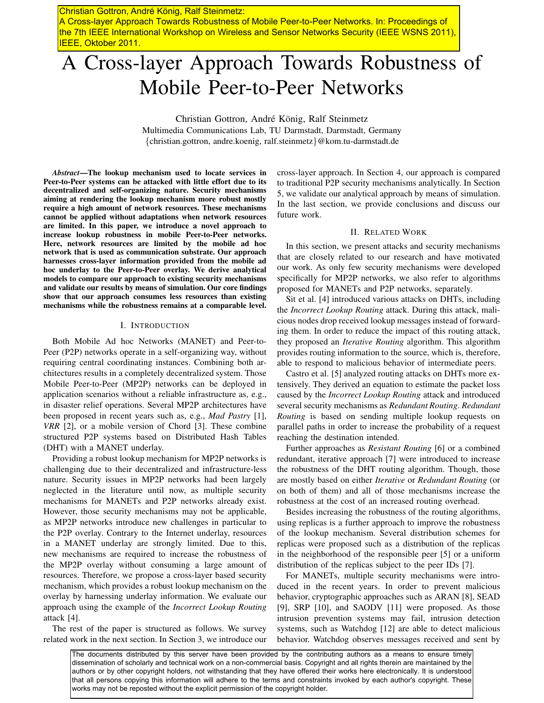Christian Gottron, André König, Ralf Steinmetz:

A Cross-layer Approach Towards Robustness of Mobile Peer-to-Peer Networks. In: Proceedings of the 7th IEEE International Workshop on Wireless and Sensor Networks Security (IEEE WSNS 2011), IEEE, Oktober 2011.

# A Cross-layer Approach Towards Robustness of Mobile Peer-to-Peer Networks

Christian Gottron, André König, Ralf Steinmetz Multimedia Communications Lab, TU Darmstadt, Darmstadt, Germany {christian.gottron, andre.koenig, ralf.steinmetz}@kom.tu-darmstadt.de

*Abstract***—The lookup mechanism used to locate services in Peer-to-Peer systems can be attacked with little effort due to its decentralized and self-organizing nature. Security mechanisms aiming at rendering the lookup mechanism more robust mostly require a high amount of network resources. These mechanisms cannot be applied without adaptations when network resources are limited. In this paper, we introduce a novel approach to increase lookup robustness in mobile Peer-to-Peer networks. Here, network resources are limited by the mobile ad hoc network that is used as communication substrate. Our approach harnesses cross-layer information provided from the mobile ad hoc underlay to the Peer-to-Peer overlay. We derive analytical models to compare our approach to existing security mechanisms and validate our results by means of simulation. Our core findings show that our approach consumes less resources than existing mechanisms while the robustness remains at a comparable level.**

# I. INTRODUCTION

Both Mobile Ad hoc Networks (MANET) and Peer-to-Peer (P2P) networks operate in a self-organizing way, without requiring central coordinating instances. Combining both architectures results in a completely decentralized system. Those Mobile Peer-to-Peer (MP2P) networks can be deployed in application scenarios without a reliable infrastructure as, e.g., in disaster relief operations. Several MP2P architectures have been proposed in recent years such as, e.g., *Mad Pastry* [1], *VRR* [2], or a mobile version of Chord [3]. These combine structured P2P systems based on Distributed Hash Tables (DHT) with a MANET underlay.

Providing a robust lookup mechanism for MP2P networks is challenging due to their decentralized and infrastructure-less nature. Security issues in MP2P networks had been largely neglected in the literature until now, as multiple security mechanisms for MANETs and P2P networks already exist. However, those security mechanisms may not be applicable, as MP2P networks introduce new challenges in particular to the P2P overlay. Contrary to the Internet underlay, resources in a MANET underlay are strongly limited. Due to this, new mechanisms are required to increase the robustness of the MP2P overlay without consuming a large amount of resources. Therefore, we propose a cross-layer based security mechanism, which provides a robust lookup mechanism on the overlay by harnessing underlay information. We evaluate our approach using the example of the *Incorrect Lookup Routing* attack [4].

The rest of the paper is structured as follows. We survey related work in the next section. In Section 3, we introduce our cross-layer approach. In Section 4, our approach is compared to traditional P2P security mechanisms analytically. In Section 5, we validate our analytical approach by means of simulation. In the last section, we provide conclusions and discuss our future work.

#### II. RELATED WORK

In this section, we present attacks and security mechanisms that are closely related to our research and have motivated our work. As only few security mechanisms were developed specifically for MP2P networks, we also refer to algorithms proposed for MANETs and P2P networks, separately.

Sit et al. [4] introduced various attacks on DHTs, including the *Incorrect Lookup Routing* attack. During this attack, malicious nodes drop received lookup messages instead of forwarding them. In order to reduce the impact of this routing attack, they proposed an *Iterative Routing* algorithm. This algorithm provides routing information to the source, which is, therefore, able to respond to malicious behavior of intermediate peers.

Castro et al. [5] analyzed routing attacks on DHTs more extensively. They derived an equation to estimate the packet loss caused by the *Incorrect Lookup Routing* attack and introduced several security mechanisms as *Redundant Routing*. *Redundant Routing* is based on sending multiple lookup requests on parallel paths in order to increase the probability of a request reaching the destination intended.

Further approaches as *Resistant Routing* [6] or a combined redundant, iterative approach [7] were introduced to increase the robustness of the DHT routing algorithm. Though, those are mostly based on either *Iterative* or *Redundant Routing* (or on both of them) and all of those mechanisms increase the robustness at the cost of an increased routing overhead.

Besides increasing the robustness of the routing algorithms, using replicas is a further approach to improve the robustness of the lookup mechanism. Several distribution schemes for replicas were proposed such as a distribution of the replicas in the neighborhood of the responsible peer [5] or a uniform distribution of the replicas subject to the peer IDs [7].

For MANETs, multiple security mechanisms were introduced in the recent years. In order to prevent malicious behavior, cryptographic approaches such as ARAN [8], SEAD [9], SRP [10], and SAODV [11] were proposed. As those intrusion prevention systems may fail, intrusion detection systems, such as Watchdog [12] are able to detect malicious behavior. Watchdog observes messages received and sent by

The documents distributed by this server have been provided by the contributing authors as a means to ensure timely dissemination of scholarly and technical work on a non-commercial basis. Copyright and all rights therein are maintained by the authors or by other copyright holders, not withstanding that they have offered their works here electronically. It is understood that all persons copying this information will adhere to the terms and constraints invoked by each author's copyright. These works may not be reposted without the explicit permission of the copyright holder.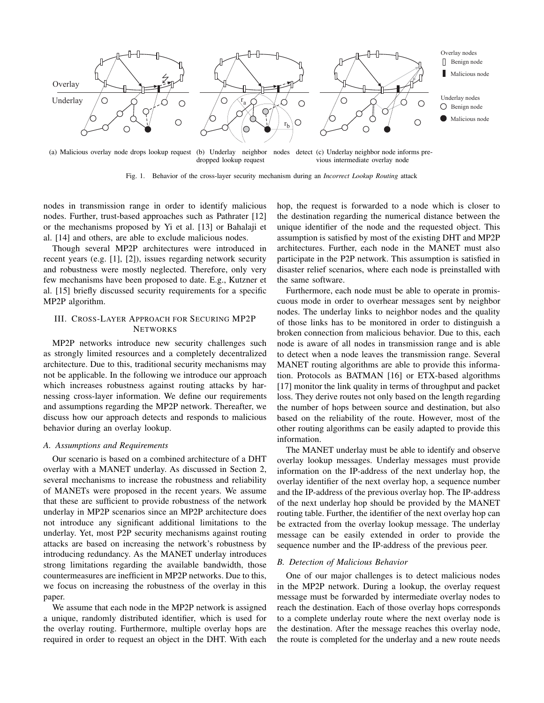

(a) Malicious overlay node drops lookup request (b) Underlay neighbor nodes detect (c) Underlay neighbor node informs predropped lookup request vious intermediate overlay node

Fig. 1. Behavior of the cross-layer security mechanism during an *Incorrect Lookup Routing* attack

nodes in transmission range in order to identify malicious nodes. Further, trust-based approaches such as Pathrater [12] or the mechanisms proposed by Yi et al. [13] or Bahalaji et al. [14] and others, are able to exclude malicious nodes.

Though several MP2P architectures were introduced in recent years (e.g. [1], [2]), issues regarding network security and robustness were mostly neglected. Therefore, only very few mechanisms have been proposed to date. E.g., Kutzner et al. [15] briefly discussed security requirements for a specific MP2P algorithm.

# III. CROSS-LAYER APPROACH FOR SECURING MP2P **NETWORKS**

MP2P networks introduce new security challenges such as strongly limited resources and a completely decentralized architecture. Due to this, traditional security mechanisms may not be applicable. In the following we introduce our approach which increases robustness against routing attacks by harnessing cross-layer information. We define our requirements and assumptions regarding the MP2P network. Thereafter, we discuss how our approach detects and responds to malicious behavior during an overlay lookup.

# *A. Assumptions and Requirements*

Our scenario is based on a combined architecture of a DHT overlay with a MANET underlay. As discussed in Section 2, several mechanisms to increase the robustness and reliability of MANETs were proposed in the recent years. We assume that these are sufficient to provide robustness of the network underlay in MP2P scenarios since an MP2P architecture does not introduce any significant additional limitations to the underlay. Yet, most P2P security mechanisms against routing attacks are based on increasing the network's robustness by introducing redundancy. As the MANET underlay introduces strong limitations regarding the available bandwidth, those countermeasures are inefficient in MP2P networks. Due to this, we focus on increasing the robustness of the overlay in this paper.

We assume that each node in the MP2P network is assigned a unique, randomly distributed identifier, which is used for the overlay routing. Furthermore, multiple overlay hops are required in order to request an object in the DHT. With each hop, the request is forwarded to a node which is closer to the destination regarding the numerical distance between the unique identifier of the node and the requested object. This assumption is satisfied by most of the existing DHT and MP2P architectures. Further, each node in the MANET must also participate in the P2P network. This assumption is satisfied in disaster relief scenarios, where each node is preinstalled with the same software.

Furthermore, each node must be able to operate in promiscuous mode in order to overhear messages sent by neighbor nodes. The underlay links to neighbor nodes and the quality of those links has to be monitored in order to distinguish a broken connection from malicious behavior. Due to this, each node is aware of all nodes in transmission range and is able to detect when a node leaves the transmission range. Several MANET routing algorithms are able to provide this information. Protocols as BATMAN [16] or ETX-based algorithms [17] monitor the link quality in terms of throughput and packet loss. They derive routes not only based on the length regarding the number of hops between source and destination, but also based on the reliability of the route. However, most of the other routing algorithms can be easily adapted to provide this information.

The MANET underlay must be able to identify and observe overlay lookup messages. Underlay messages must provide information on the IP-address of the next underlay hop, the overlay identifier of the next overlay hop, a sequence number and the IP-address of the previous overlay hop. The IP-address of the next underlay hop should be provided by the MANET routing table. Further, the identifier of the next overlay hop can be extracted from the overlay lookup message. The underlay message can be easily extended in order to provide the sequence number and the IP-address of the previous peer.

#### *B. Detection of Malicious Behavior*

One of our major challenges is to detect malicious nodes in the MP2P network. During a lookup, the overlay request message must be forwarded by intermediate overlay nodes to reach the destination. Each of those overlay hops corresponds to a complete underlay route where the next overlay node is the destination. After the message reaches this overlay node, the route is completed for the underlay and a new route needs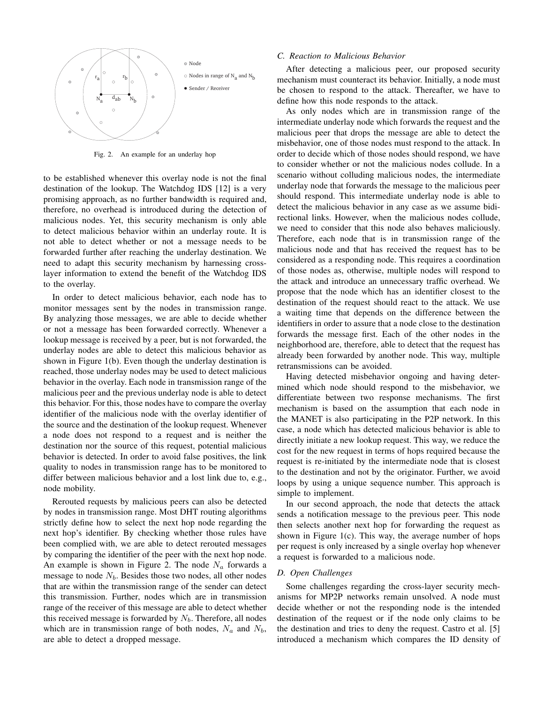

Fig. 2. An example for an underlay hop

to be established whenever this overlay node is not the final destination of the lookup. The Watchdog IDS [12] is a very promising approach, as no further bandwidth is required and, therefore, no overhead is introduced during the detection of malicious nodes. Yet, this security mechanism is only able to detect malicious behavior within an underlay route. It is not able to detect whether or not a message needs to be forwarded further after reaching the underlay destination. We need to adapt this security mechanism by harnessing crosslayer information to extend the benefit of the Watchdog IDS to the overlay.

In order to detect malicious behavior, each node has to monitor messages sent by the nodes in transmission range. By analyzing those messages, we are able to decide whether or not a message has been forwarded correctly. Whenever a lookup message is received by a peer, but is not forwarded, the underlay nodes are able to detect this malicious behavior as shown in Figure 1(b). Even though the underlay destination is reached, those underlay nodes may be used to detect malicious behavior in the overlay. Each node in transmission range of the malicious peer and the previous underlay node is able to detect this behavior. For this, those nodes have to compare the overlay identifier of the malicious node with the overlay identifier of the source and the destination of the lookup request. Whenever a node does not respond to a request and is neither the destination nor the source of this request, potential malicious behavior is detected. In order to avoid false positives, the link quality to nodes in transmission range has to be monitored to differ between malicious behavior and a lost link due to, e.g., node mobility.

Rerouted requests by malicious peers can also be detected by nodes in transmission range. Most DHT routing algorithms strictly define how to select the next hop node regarding the next hop's identifier. By checking whether those rules have been complied with, we are able to detect rerouted messages by comparing the identifier of the peer with the next hop node. An example is shown in Figure 2. The node  $N_a$  forwards a message to node  $N_b$ . Besides those two nodes, all other nodes that are within the transmission range of the sender can detect this transmission. Further, nodes which are in transmission range of the receiver of this message are able to detect whether this received message is forwarded by  $N_b$ . Therefore, all nodes which are in transmission range of both nodes,  $N_a$  and  $N_b$ , are able to detect a dropped message.

#### *C. Reaction to Malicious Behavior*

After detecting a malicious peer, our proposed security mechanism must counteract its behavior. Initially, a node must be chosen to respond to the attack. Thereafter, we have to define how this node responds to the attack.

As only nodes which are in transmission range of the intermediate underlay node which forwards the request and the malicious peer that drops the message are able to detect the misbehavior, one of those nodes must respond to the attack. In order to decide which of those nodes should respond, we have to consider whether or not the malicious nodes collude. In a scenario without colluding malicious nodes, the intermediate underlay node that forwards the message to the malicious peer should respond. This intermediate underlay node is able to detect the malicious behavior in any case as we assume bidirectional links. However, when the malicious nodes collude, we need to consider that this node also behaves maliciously. Therefore, each node that is in transmission range of the malicious node and that has received the request has to be considered as a responding node. This requires a coordination of those nodes as, otherwise, multiple nodes will respond to the attack and introduce an unnecessary traffic overhead. We propose that the node which has an identifier closest to the destination of the request should react to the attack. We use a waiting time that depends on the difference between the identifiers in order to assure that a node close to the destination forwards the message first. Each of the other nodes in the neighborhood are, therefore, able to detect that the request has already been forwarded by another node. This way, multiple retransmissions can be avoided.

Having detected misbehavior ongoing and having determined which node should respond to the misbehavior, we differentiate between two response mechanisms. The first mechanism is based on the assumption that each node in the MANET is also participating in the P2P network. In this case, a node which has detected malicious behavior is able to directly initiate a new lookup request. This way, we reduce the cost for the new request in terms of hops required because the request is re-initiated by the intermediate node that is closest to the destination and not by the originator. Further, we avoid loops by using a unique sequence number. This approach is simple to implement.

In our second approach, the node that detects the attack sends a notification message to the previous peer. This node then selects another next hop for forwarding the request as shown in Figure 1(c). This way, the average number of hops per request is only increased by a single overlay hop whenever a request is forwarded to a malicious node.

#### *D. Open Challenges*

Some challenges regarding the cross-layer security mechanisms for MP2P networks remain unsolved. A node must decide whether or not the responding node is the intended destination of the request or if the node only claims to be the destination and tries to deny the request. Castro et al. [5] introduced a mechanism which compares the ID density of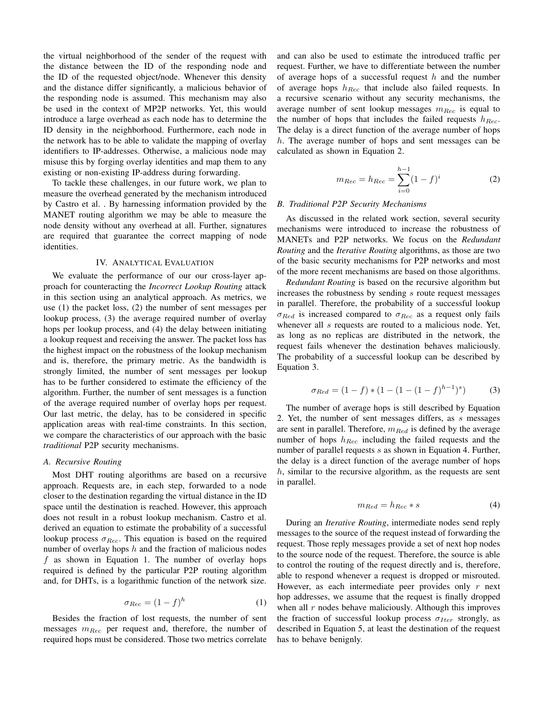the virtual neighborhood of the sender of the request with the distance between the ID of the responding node and the ID of the requested object/node. Whenever this density and the distance differ significantly, a malicious behavior of the responding node is assumed. This mechanism may also be used in the context of MP2P networks. Yet, this would introduce a large overhead as each node has to determine the ID density in the neighborhood. Furthermore, each node in the network has to be able to validate the mapping of overlay identifiers to IP-addresses. Otherwise, a malicious node may misuse this by forging overlay identities and map them to any existing or non-existing IP-address during forwarding.

To tackle these challenges, in our future work, we plan to measure the overhead generated by the mechanism introduced by Castro et al. . By harnessing information provided by the MANET routing algorithm we may be able to measure the node density without any overhead at all. Further, signatures are required that guarantee the correct mapping of node identities.

#### IV. ANALYTICAL EVALUATION

We evaluate the performance of our our cross-layer approach for counteracting the *Incorrect Lookup Routing* attack in this section using an analytical approach. As metrics, we use (1) the packet loss, (2) the number of sent messages per lookup process, (3) the average required number of overlay hops per lookup process, and (4) the delay between initiating a lookup request and receiving the answer. The packet loss has the highest impact on the robustness of the lookup mechanism and is, therefore, the primary metric. As the bandwidth is strongly limited, the number of sent messages per lookup has to be further considered to estimate the efficiency of the algorithm. Further, the number of sent messages is a function of the average required number of overlay hops per request. Our last metric, the delay, has to be considered in specific application areas with real-time constraints. In this section, we compare the characteristics of our approach with the basic *traditional* P2P security mechanisms.

## *A. Recursive Routing*

Most DHT routing algorithms are based on a recursive approach. Requests are, in each step, forwarded to a node closer to the destination regarding the virtual distance in the ID space until the destination is reached. However, this approach does not result in a robust lookup mechanism. Castro et al. derived an equation to estimate the probability of a successful lookup process  $\sigma_{Rec}$ . This equation is based on the required number of overlay hops  $h$  and the fraction of malicious nodes f as shown in Equation 1. The number of overlay hops required is defined by the particular P2P routing algorithm and, for DHTs, is a logarithmic function of the network size.

$$
\sigma_{Rec} = (1 - f)^h \tag{1}
$$

Besides the fraction of lost requests, the number of sent messages m*Rec* per request and, therefore, the number of required hops must be considered. Those two metrics correlate and can also be used to estimate the introduced traffic per request. Further, we have to differentiate between the number of average hops of a successful request  $h$  and the number of average hops h*Rec* that include also failed requests. In a recursive scenario without any security mechanisms, the average number of sent lookup messages m*Rec* is equal to the number of hops that includes the failed requests h*Rec*. The delay is a direct function of the average number of hops h. The average number of hops and sent messages can be calculated as shown in Equation 2.

$$
m_{Rec} = h_{Rec} = \sum_{i=0}^{h-1} (1 - f)^i
$$
 (2)

## *B. Traditional P2P Security Mechanisms*

As discussed in the related work section, several security mechanisms were introduced to increase the robustness of MANETs and P2P networks. We focus on the *Redundant Routing* and the *Iterative Routing* algorithms, as those are two of the basic security mechanisms for P2P networks and most of the more recent mechanisms are based on those algorithms.

*Redundant Routing* is based on the recursive algorithm but increases the robustness by sending  $s$  route request messages in parallel. Therefore, the probability of a successful lookup  $\sigma_{Red}$  is increased compared to  $\sigma_{Rec}$  as a request only fails whenever all s requests are routed to a malicious node. Yet, as long as no replicas are distributed in the network, the request fails whenever the destination behaves maliciously. The probability of a successful lookup can be described by Equation 3.

$$
\sigma_{Red} = (1 - f) * (1 - (1 - (1 - f)^{h-1})^s)
$$
 (3)

The number of average hops is still described by Equation 2. Yet, the number of sent messages differs, as  $s$  messages are sent in parallel. Therefore, m*Red* is defined by the average number of hops h*Rec* including the failed requests and the number of parallel requests s as shown in Equation 4. Further, the delay is a direct function of the average number of hops h, similar to the recursive algorithm, as the requests are sent in parallel.

$$
m_{Red} = h_{Rec} * s \tag{4}
$$

During an *Iterative Routing*, intermediate nodes send reply messages to the source of the request instead of forwarding the request. Those reply messages provide a set of next hop nodes to the source node of the request. Therefore, the source is able to control the routing of the request directly and is, therefore, able to respond whenever a request is dropped or misrouted. However, as each intermediate peer provides only  $r$  next hop addresses, we assume that the request is finally dropped when all  $r$  nodes behave maliciously. Although this improves the fraction of successful lookup process  $\sigma_{Iter}$  strongly, as described in Equation 5, at least the destination of the request has to behave benignly.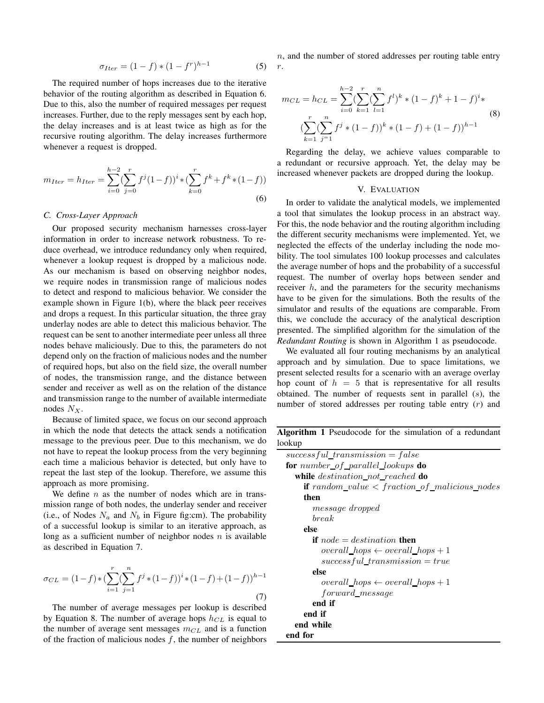$$
\sigma_{Iter} = (1 - f) * (1 - f^r)^{h-1}
$$
 (5)

The required number of hops increases due to the iterative behavior of the routing algorithm as described in Equation 6. Due to this, also the number of required messages per request increases. Further, due to the reply messages sent by each hop, the delay increases and is at least twice as high as for the recursive routing algorithm. The delay increases furthermore whenever a request is dropped.

$$
m_{Iter} = h_{Iter} = \sum_{i=0}^{h-2} (\sum_{j=0}^{r} f^{j} (1-f))^{i} * (\sum_{k=0}^{r} f^{k} + f^{k} * (1-f))
$$
\n(6)

#### *C. Cross-Layer Approach*

Our proposed security mechanism harnesses cross-layer information in order to increase network robustness. To reduce overhead, we introduce redundancy only when required, whenever a lookup request is dropped by a malicious node. As our mechanism is based on observing neighbor nodes, we require nodes in transmission range of malicious nodes to detect and respond to malicious behavior. We consider the example shown in Figure 1(b), where the black peer receives and drops a request. In this particular situation, the three gray underlay nodes are able to detect this malicious behavior. The request can be sent to another intermediate peer unless all three nodes behave maliciously. Due to this, the parameters do not depend only on the fraction of malicious nodes and the number of required hops, but also on the field size, the overall number of nodes, the transmission range, and the distance between sender and receiver as well as on the relation of the distance and transmission range to the number of available intermediate nodes N*X*.

Because of limited space, we focus on our second approach in which the node that detects the attack sends a notification message to the previous peer. Due to this mechanism, we do not have to repeat the lookup process from the very beginning each time a malicious behavior is detected, but only have to repeat the last step of the lookup. Therefore, we assume this approach as more promising.

We define  $n$  as the number of nodes which are in transmission range of both nodes, the underlay sender and receiver (i.e., of Nodes  $N_a$  and  $N_b$  in Figure fig:cm). The probability of a successful lookup is similar to an iterative approach, as long as a sufficient number of neighbor nodes  $n$  is available as described in Equation 7.

$$
\sigma_{CL} = (1 - f) * (\sum_{i=1}^{r} (\sum_{j=1}^{n} f^{j} * (1 - f))^{i} * (1 - f) + (1 - f))^{h-1}
$$
\n(7)

The number of average messages per lookup is described by Equation 8. The number of average hops  $h_{CL}$  is equal to the number of average sent messages m*CL* and is a function of the fraction of malicious nodes  $f$ , the number of neighbors

 $n$ , and the number of stored addresses per routing table entry r.

$$
m_{CL} = h_{CL} = \sum_{i=0}^{h-2} \left(\sum_{k=1}^{r} \left(\sum_{l=1}^{n} f^{l}\right)^{k} * (1-f)^{k} + 1 - f\right)^{i} * \n\left(\sum_{k=1}^{r} \left(\sum_{j=1}^{n} f^{j} * (1-f)\right)^{k} * (1-f) + (1-f)\right)^{h-1}
$$
\n(8)

Regarding the delay, we achieve values comparable to a redundant or recursive approach. Yet, the delay may be increased whenever packets are dropped during the lookup.

# V. EVALUATION

In order to validate the analytical models, we implemented a tool that simulates the lookup process in an abstract way. For this, the node behavior and the routing algorithm including the different security mechanisms were implemented. Yet, we neglected the effects of the underlay including the node mobility. The tool simulates 100 lookup processes and calculates the average number of hops and the probability of a successful request. The number of overlay hops between sender and receiver  $h$ , and the parameters for the security mechanisms have to be given for the simulations. Both the results of the simulator and results of the equations are comparable. From this, we conclude the accuracy of the analytical description presented. The simplified algorithm for the simulation of the *Redundant Routing* is shown in Algorithm 1 as pseudocode.

We evaluated all four routing mechanisms by an analytical approach and by simulation. Due to space limitations, we present selected results for a scenario with an average overlay hop count of  $h = 5$  that is representative for all results obtained. The number of requests sent in parallel  $(s)$ , the number of stored addresses per routing table entry  $(r)$  and

**Algorithm 1** Pseudocode for the simulation of a redundant lookup

| $successful\_transmission = false$                        |
|-----------------------------------------------------------|
| <b>for</b> number_of_parallel_lookups <b>do</b>           |
| <b>while</b> destination not reached <b>do</b>            |
| <b>if</b> $random\_value < fraction_of\_malicious\_nodes$ |
| then                                                      |
| message dropped                                           |
| break                                                     |
| else                                                      |
| <b>if</b> node = destination <b>then</b>                  |
| overall hops $\leftarrow$ overall hops $+1$               |
| $successful\_transmission = true$                         |
| else                                                      |
| $overall\_hops \leftarrow overall\_hops + 1$              |
| forward_message                                           |
| end if                                                    |
| end if                                                    |
| end while                                                 |
| end for                                                   |
|                                                           |